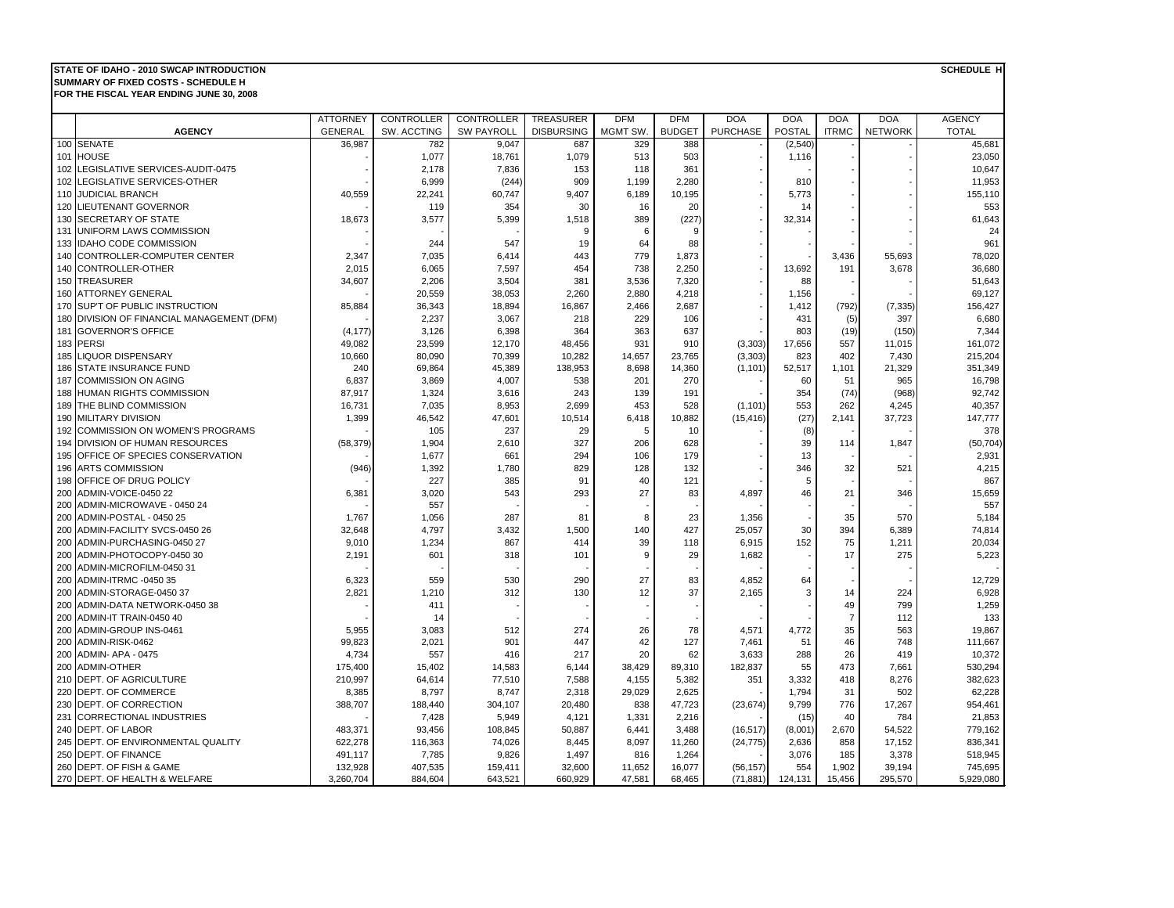## **STATE OF IDAHO - 2010 SWCAP INTRODUCTION**

**FOR THE FISCAL YEAR ENDING JUNE 30, 2008 SUMMARY OF FIXED COSTS - SCHEDULE H**

|            |                                                       | <b>ATTORNEY</b> | CONTROLLER     | <b>CONTROLLER</b> | TREASURER         | <b>DFM</b> | <b>DFM</b>    | <b>DOA</b>      | <b>DOA</b>    | <b>DOA</b>     | <b>DOA</b>     | <b>AGENCY</b>    |
|------------|-------------------------------------------------------|-----------------|----------------|-------------------|-------------------|------------|---------------|-----------------|---------------|----------------|----------------|------------------|
|            | <b>AGENCY</b>                                         | <b>GENERAL</b>  | SW. ACCTING    | <b>SW PAYROLL</b> | <b>DISBURSING</b> | MGMT SW.   | <b>BUDGET</b> | <b>PURCHASE</b> | <b>POSTAL</b> | <b>ITRMC</b>   | <b>NETWORK</b> | <b>TOTAL</b>     |
|            | 100 SENATE                                            | 36,987          | 782            | 9,047             | 687               | 329        | 388           |                 | (2, 540)      |                |                | 45,681           |
| 101        | <b>HOUSE</b>                                          |                 | 1,077          | 18,761            | 1,079             | 513        | 503           |                 | 1,116         |                |                | 23,050           |
| 102        | LEGISLATIVE SERVICES-AUDIT-0475                       |                 | 2,178          | 7,836             | 153               | 118        | 361           |                 |               |                |                | 10,647           |
| 102        | LEGISLATIVE SERVICES-OTHER                            |                 | 6,999          | (244)             | 909               | 1,199      | 2,280         |                 | 810           |                |                | 11,953           |
| 110        | <b>JUDICIAL BRANCH</b>                                | 40,559          | 22,241         | 60,747            | 9,407             | 6,189      | 10,195        |                 | 5,773         |                |                | 155,110          |
| 120        | <b>LIEUTENANT GOVERNOR</b>                            |                 | 119            | 354               | 30                | 16         | 20            |                 | 14            |                |                | 553              |
| 130        | <b>SECRETARY OF STATE</b>                             | 18,673          | 3,577          | 5,399             | 1,518             | 389        | (227)         |                 | 32,314        |                |                | 61,643           |
| 131        | UNIFORM LAWS COMMISSION                               |                 |                |                   | 9                 | 6          | 9             |                 |               |                |                | 24               |
| 133        | <b>IDAHO CODE COMMISSION</b>                          |                 | 244            | 547               | 19                | 64         | 88            |                 |               |                |                | 961              |
| 140        | CONTROLLER-COMPUTER CENTER                            | 2,347           | 7,035          | 6,414             | 443               | 779        | 1,873         |                 |               | 3,436          | 55,693         | 78,020           |
| 140        | <b>CONTROLLER-OTHER</b>                               | 2,015           | 6,065          | 7,597             | 454               | 738        | 2,250         |                 | 13,692        | 191            | 3,678          | 36,680           |
|            | 150 TREASURER                                         | 34,607          | 2,206          | 3,504             | 381               | 3,536      | 7,320         |                 | 88            |                |                | 51,643           |
| 160        | <b>ATTORNEY GENERAL</b>                               |                 | 20,559         | 38,053            | 2,260             | 2,880      | 4,218         |                 | 1,156         |                |                | 69,127           |
|            | 170 SUP'T OF PUBLIC INSTRUCTION                       | 85,884          | 36,343         | 18,894            | 16,867            | 2,466      | 2,687         |                 | 1,412         | (792)          | (7, 335)       | 156,427          |
| 180        | DIVISION OF FINANCIAL MANAGEMENT (DFM)                |                 | 2,237          | 3,067             | 218               | 229        | 106           |                 | 431           | (5)            | 397            | 6,680            |
| 181        | <b>GOVERNOR'S OFFICE</b>                              | (4, 177)        | 3,126          | 6,398             | 364               | 363        | 637           |                 | 803           | (19)           | (150)          | 7,344            |
|            | 183 PERSI                                             | 49,082          | 23,599         | 12,170            | 48,456            | 931        | 910           | (3, 303)        | 17,656        | 557            | 11,015         | 161,072          |
| 185        | <b>LIQUOR DISPENSARY</b>                              | 10,660          | 80,090         | 70,399            | 10,282            | 14,657     | 23,765        | (3,303)         | 823           | 402            | 7,430          | 215,204          |
| 186        | <b>STATE INSURANCE FUND</b>                           | 240             | 69,864         | 45,389            | 138,953           | 8,698      | 14,360        | (1, 101)        | 52,517        | 1,101          | 21,329         | 351,349          |
| 187        | <b>COMMISSION ON AGING</b>                            | 6,837           | 3,869          | 4,007             | 538               | 201        | 270           |                 | 60            | 51             | 965            | 16,798           |
| 188        | HUMAN RIGHTS COMMISSION                               | 87,917          | 1,324          | 3,616             | 243               | 139        | 191           |                 | 354           | (74)           | (968)          | 92,742           |
| 189        | THE BLIND COMMISSION                                  | 16,731          | 7,035          | 8,953             | 2,699             | 453        | 528           | (1, 101)        | 553           | 262            | 4,245          | 40,357           |
| 190        | <b>MILITARY DIVISION</b>                              | 1,399           | 46,542         | 47,601            | 10,514            | 6,418      | 10,882        | (15, 416)       | (27)          | 2,141          | 37,723         | 147,777          |
| 192        | COMMISSION ON WOMEN'S PROGRAMS                        |                 | 105            | 237               | 29                | 5          | 10            |                 | (8)           |                |                | 378              |
| 194        | <b>DIVISION OF HUMAN RESOURCES</b>                    | (58, 379)       | 1,904          | 2,610             | 327               | 206        | 628           |                 | 39            | 114            | 1,847          | (50, 704)        |
| 195        | OFFICE OF SPECIES CONSERVATION                        |                 | 1,677          | 661               | 294               | 106        | 179           |                 | 13            |                |                | 2,931            |
| 196        | <b>ARTS COMMISSION</b>                                | (946)           | 1,392          | 1,780             | 829               | 128        | 132           |                 | 346           | 32             | 521            | 4,215            |
| 198        | OFFICE OF DRUG POLICY                                 |                 | 227            | 385               | 91                | 40         | 121           |                 | 5             |                |                | 867              |
| 200        | ADMIN-VOICE-0450 22                                   | 6,381           | 3,020          | 543               | 293               | 27         | 83            | 4,897           | 46            | 21             | 346            | 15,659           |
| 200        | ADMIN-MICROWAVE - 0450 24                             |                 | 557            |                   |                   |            |               |                 |               |                |                | 557              |
| 200<br>200 | ADMIN-POSTAL - 0450 25<br>ADMIN-FACILITY SVCS-0450 26 | 1,767           | 1,056          | 287               | 81                | 8          | 23            | 1,356           |               | 35             | 570            | 5,184            |
| 200        | ADMIN-PURCHASING-0450 27                              | 32,648<br>9,010 | 4,797<br>1,234 | 3,432<br>867      | 1,500<br>414      | 140<br>39  | 427<br>118    | 25,057          | 30<br>152     | 394<br>75      | 6,389          | 74,814<br>20,034 |
| 200        | ADMIN-PHOTOCOPY-0450 30                               | 2,191           | 601            | 318               | 101               | 9          | 29            | 6,915<br>1,682  |               | 17             | 1,211<br>275   | 5,223            |
| 200        | ADMIN-MICROFILM-0450 31                               |                 |                |                   |                   |            |               |                 |               |                |                |                  |
| 200        | ADMIN-ITRMC -0450 35                                  | 6,323           | 559            | 530               | 290               | 27         | 83            | 4,852           | 64            |                |                | 12,729           |
| 200        | ADMIN-STORAGE-0450 37                                 | 2,821           | 1,210          | 312               | 130               | 12         | 37            | 2,165           | 3             | 14             | 224            | 6,928            |
| 200        | ADMIN-DATA NETWORK-0450 38                            |                 | 411            |                   |                   |            |               |                 |               | 49             | 799            | 1,259            |
| 200        | ADMIN-IT TRAIN-0450 40                                |                 | 14             |                   |                   |            |               |                 |               | $\overline{7}$ | 112            | 133              |
| 200        | <b>ADMIN-GROUP INS-0461</b>                           | 5,955           | 3,083          | 512               | 274               | 26         | 78            | 4,571           | 4,772         | 35             | 563            | 19,867           |
| 200        | ADMIN-RISK-0462                                       | 99,823          | 2,021          | 901               | 447               | 42         | 127           | 7,461           | 51            | 46             | 748            | 111,667          |
| 200        | ADMIN-APA - 0475                                      | 4,734           | 557            | 416               | 217               | 20         | 62            | 3,633           | 288           | 26             | 419            | 10,372           |
| 200        | <b>ADMIN-OTHER</b>                                    | 175,400         | 15,402         | 14,583            | 6,144             | 38,429     | 89,310        | 182,837         | 55            | 473            | 7,661          | 530,294          |
| 210        | <b>DEPT. OF AGRICULTURE</b>                           | 210,997         | 64,614         | 77,510            | 7,588             | 4,155      | 5,382         | 351             | 3,332         | 418            | 8,276          | 382,623          |
| 220        | <b>DEPT. OF COMMERCE</b>                              | 8,385           | 8,797          | 8,747             | 2,318             | 29,029     | 2,625         |                 | 1,794         | 31             | 502            | 62,228           |
| 230        | <b>IDEPT. OF CORRECTION</b>                           | 388,707         | 188,440        | 304,107           | 20,480            | 838        | 47,723        | (23, 674)       | 9,799         | 776            | 17,267         | 954,461          |
| 231        | <b>CORRECTIONAL INDUSTRIES</b>                        |                 | 7,428          | 5,949             | 4,121             | 1,331      | 2,216         |                 | (15)          | 40             | 784            | 21,853           |
| 240        | <b>DEPT. OF LABOR</b>                                 | 483,371         | 93,456         | 108,845           | 50,887            | 6,441      | 3,488         | (16, 517)       | (8,001)       | 2,670          | 54,522         | 779,162          |
| 245        | DEPT. OF ENVIRONMENTAL QUALITY                        | 622,278         | 116,363        | 74,026            | 8,445             | 8,097      | 11,260        | (24, 775)       | 2,636         | 858            | 17,152         | 836,341          |
|            | 250 DEPT. OF FINANCE                                  | 491,117         | 7,785          | 9,826             | 1,497             | 816        | 1,264         |                 | 3,076         | 185            | 3,378          | 518,945          |
|            | 260 DEPT. OF FISH & GAME                              | 132,928         | 407,535        | 159,411           | 32,600            | 11,652     | 16,077        | (56, 157)       | 554           | 1,902          | 39,194         | 745,695          |
|            | 270 DEPT. OF HEALTH & WELFARE                         | 3,260,704       | 884,604        | 643,521           | 660,929           | 47,581     | 68,465        | (71, 881)       | 124,131       | 15,456         | 295,570        | 5,929,080        |

**SCHEDULE H**